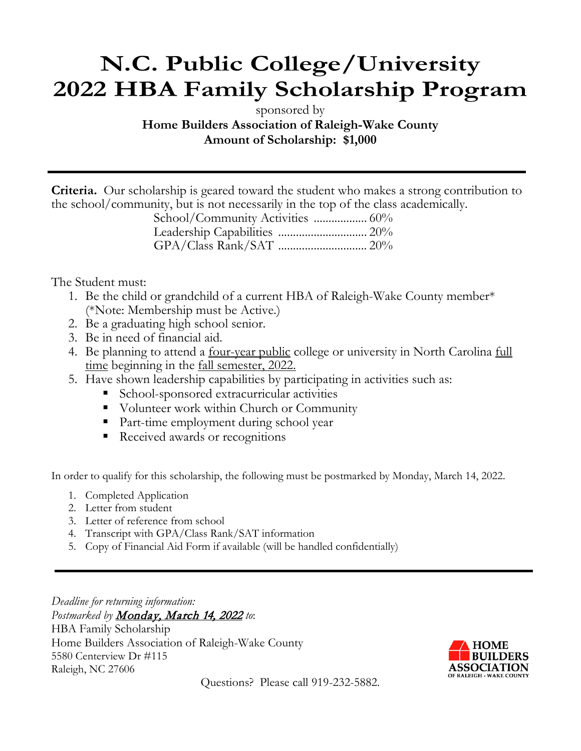# **N.C. Public College/University 2022 HBA Family Scholarship Program**

sponsored by

**Home Builders Association of Raleigh-Wake County Amount of Scholarship: \$1,000**

**Criteria.** Our scholarship is geared toward the student who makes a strong contribution to the school/community, but is not necessarily in the top of the class academically.

| School/Community Activities  60% |  |
|----------------------------------|--|
|                                  |  |
|                                  |  |

The Student must:

- 1. Be the child or grandchild of a current HBA of Raleigh-Wake County member\* (\*Note: Membership must be Active.)
- 2. Be a graduating high school senior.
- 3. Be in need of financial aid.
- 4. Be planning to attend a <u>four-year public</u> college or university in North Carolina <u>full</u> time beginning in the <u>fall semester, 2022.</u>
- 5. Have shown leadership capabilities by participating in activities such as:
	- School-sponsored extracurricular activities
	- Volunteer work within Church or Community
	- Part-time employment during school year
	- Received awards or recognitions

In order to qualify for this scholarship, the following must be postmarked by Monday, March 14, 2022.

- 1. Completed Application
- 2. Letter from student
- 3. Letter of reference from school
- 4. Transcript with GPA/Class Rank/SAT information
- 5. Copy of Financial Aid Form if available (will be handled confidentially)

*Deadline for returning information:*  Postmarked by **Monday**, March 14, 2022 to: HBA Family Scholarship Home Builders Association of Raleigh-Wake County 5580 Centerview Dr #115 Raleigh, NC 27606



Questions? Please call 919-232-5882.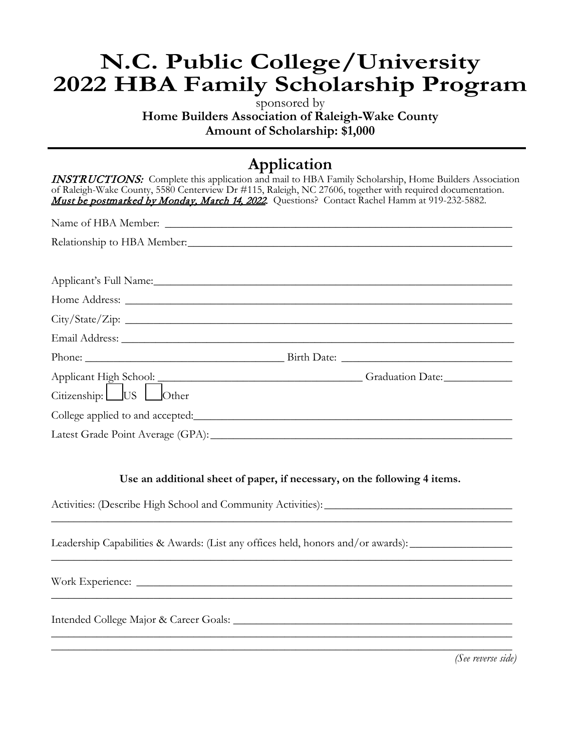# **N.C. Public College/University 2022 HBA Family Scholarship Program**

sponsored by **Home Builders Association of Raleigh-Wake County Amount of Scholarship: \$1,000**

## **Application**

| of Raleigh-Wake County, 5580 Centerview Dr #115, Raleigh, NC 27606, together with required documentation. | <b>INSTRUCTIONS:</b> Complete this application and mail to HBA Family Scholarship, Home Builders Association |
|-----------------------------------------------------------------------------------------------------------|--------------------------------------------------------------------------------------------------------------|
| Must be postmarked by Monday, March 14, 2022. Questions? Contact Rachel Hamm at 919-232-5882.             |                                                                                                              |
|                                                                                                           |                                                                                                              |
| Relationship to HBA Member.                                                                               |                                                                                                              |
|                                                                                                           |                                                                                                              |
|                                                                                                           |                                                                                                              |
|                                                                                                           |                                                                                                              |
|                                                                                                           |                                                                                                              |
|                                                                                                           |                                                                                                              |
|                                                                                                           |                                                                                                              |
|                                                                                                           |                                                                                                              |
|                                                                                                           | Applicant High School: Graduation Date: Citizenship: US Other                                                |
|                                                                                                           |                                                                                                              |
|                                                                                                           |                                                                                                              |
|                                                                                                           |                                                                                                              |

#### **Use an additional sheet of paper, if necessary, on the following 4 items.**

\_\_\_\_\_\_\_\_\_\_\_\_\_\_\_\_\_\_\_\_\_\_\_\_\_\_\_\_\_\_\_\_\_\_\_\_\_\_\_\_\_\_\_\_\_\_\_\_\_\_\_\_\_\_\_\_\_\_\_\_\_\_\_\_\_\_\_\_\_\_\_\_\_\_\_\_\_\_\_\_\_

\_\_\_\_\_\_\_\_\_\_\_\_\_\_\_\_\_\_\_\_\_\_\_\_\_\_\_\_\_\_\_\_\_\_\_\_\_\_\_\_\_\_\_\_\_\_\_\_\_\_\_\_\_\_\_\_\_\_\_\_\_\_\_\_\_\_\_\_\_\_\_\_\_\_\_\_\_\_\_\_\_

\_\_\_\_\_\_\_\_\_\_\_\_\_\_\_\_\_\_\_\_\_\_\_\_\_\_\_\_\_\_\_\_\_\_\_\_\_\_\_\_\_\_\_\_\_\_\_\_\_\_\_\_\_\_\_\_\_\_\_\_\_\_\_\_\_\_\_\_\_\_\_\_\_\_\_\_\_\_\_\_\_

\_\_\_\_\_\_\_\_\_\_\_\_\_\_\_\_\_\_\_\_\_\_\_\_\_\_\_\_\_\_\_\_\_\_\_\_\_\_\_\_\_\_\_\_\_\_\_\_\_\_\_\_\_\_\_\_\_\_\_\_\_\_\_\_\_\_\_\_\_\_\_\_\_\_\_\_\_\_\_\_\_ \_\_\_\_\_\_\_\_\_\_\_\_\_\_\_\_\_\_\_\_\_\_\_\_\_\_\_\_\_\_\_\_\_\_\_\_\_\_\_\_\_\_\_\_\_\_\_\_\_\_\_\_\_\_\_\_\_\_\_\_\_\_\_\_\_\_\_\_\_\_\_\_\_\_\_\_\_\_\_\_\_

Activities: (Describe High School and Community Activities): \_\_\_\_\_\_\_\_\_\_\_\_\_\_\_\_\_\_\_\_\_\_\_\_\_\_\_\_\_\_\_\_\_

Leadership Capabilities & Awards: (List any offices held, honors and/or awards):

Work Experience: \_\_\_\_\_\_\_\_\_\_\_\_\_\_\_\_\_\_\_\_\_\_\_\_\_\_\_\_\_\_\_\_\_\_\_\_\_\_\_\_\_\_\_\_\_\_\_\_\_\_\_\_\_\_\_\_\_\_\_\_\_\_\_\_\_\_

Intended College Major & Career Goals: \_\_\_\_\_\_\_\_\_\_\_\_\_\_\_\_\_\_\_\_\_\_\_\_\_\_\_\_\_\_\_\_\_\_\_\_\_\_\_\_\_\_\_\_\_\_\_\_\_

*(See reverse side)*